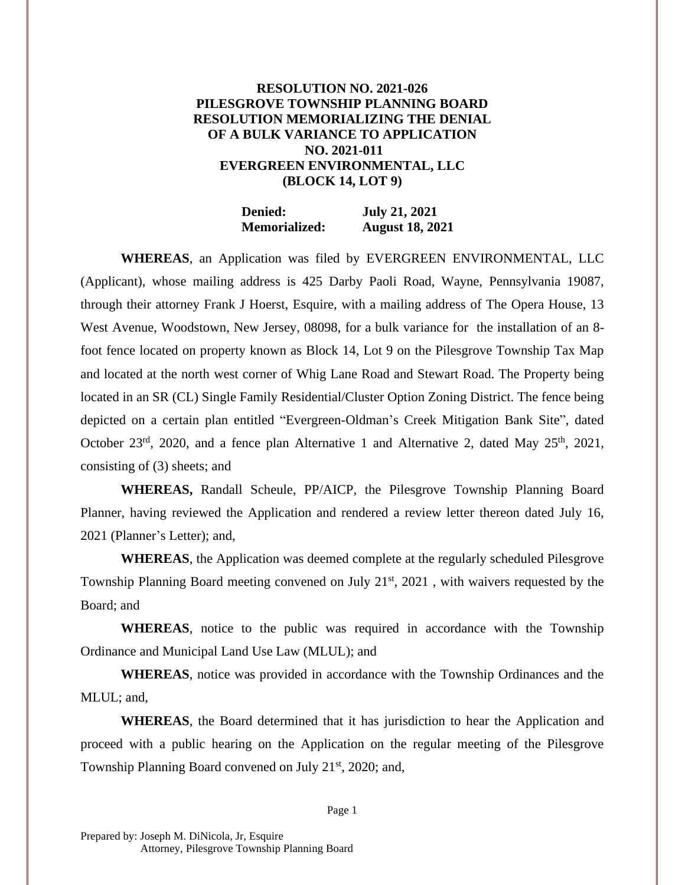## **RESOLUTION NO. 2021-026 PILESGROVE TOWNSHIP PLANNING BOARD RESOLUTION MEMORIALIZING THE DENIAL OF A BULK VARIANCE TO APPLICATION NO. 2021-011 EVERGREEN ENVIRONMENTAL, LLC (BLOCK 14, LOT 9)**

**Denied: July 21, 2021 Memorialized: August 18, 2021**

**WHEREAS**, an Application was filed by EVERGREEN ENVIRONMENTAL, LLC (Applicant), whose mailing address is 425 Darby Paoli Road, Wayne, Pennsylvania 19087, through their attorney Frank J Hoerst, Esquire, with a mailing address of The Opera House, 13 West Avenue, Woodstown, New Jersey, 08098, for a bulk variance for the installation of an 8 foot fence located on property known as Block 14, Lot 9 on the Pilesgrove Township Tax Map and located at the north west corner of Whig Lane Road and Stewart Road. The Property being located in an SR (CL) Single Family Residential/Cluster Option Zoning District. The fence being depicted on a certain plan entitled "Evergreen-Oldman's Creek Mitigation Bank Site", dated October 23<sup>rd</sup>, 2020, and a fence plan Alternative 1 and Alternative 2, dated May  $25<sup>th</sup>$ , 2021, consisting of (3) sheets; and

**WHEREAS,** Randall Scheule, PP/AICP, the Pilesgrove Township Planning Board Planner, having reviewed the Application and rendered a review letter thereon dated July 16, 2021 (Planner's Letter); and,

**WHEREAS**, the Application was deemed complete at the regularly scheduled Pilesgrove Township Planning Board meeting convened on July  $21<sup>st</sup>$ ,  $2021$ , with waivers requested by the Board; and

**WHEREAS**, notice to the public was required in accordance with the Township Ordinance and Municipal Land Use Law (MLUL); and

**WHEREAS**, notice was provided in accordance with the Township Ordinances and the MLUL; and,

**WHEREAS**, the Board determined that it has jurisdiction to hear the Application and proceed with a public hearing on the Application on the regular meeting of the Pilesgrove Township Planning Board convened on July 21<sup>st</sup>, 2020; and,

Page 1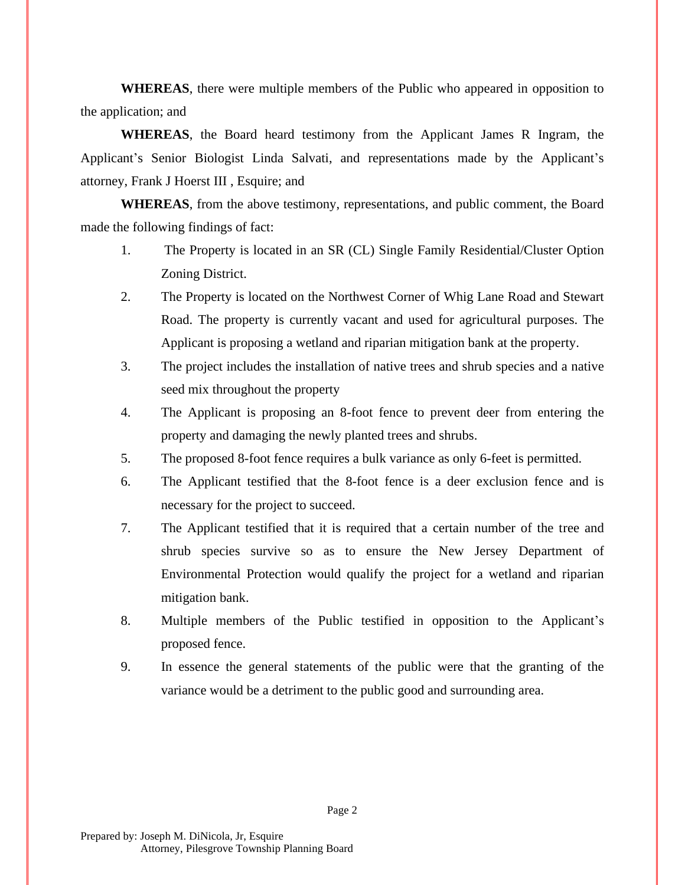**WHEREAS**, there were multiple members of the Public who appeared in opposition to the application; and

**WHEREAS**, the Board heard testimony from the Applicant James R Ingram, the Applicant's Senior Biologist Linda Salvati, and representations made by the Applicant's attorney, Frank J Hoerst III , Esquire; and

**WHEREAS**, from the above testimony, representations, and public comment, the Board made the following findings of fact:

- 1. The Property is located in an SR (CL) Single Family Residential/Cluster Option Zoning District.
- 2. The Property is located on the Northwest Corner of Whig Lane Road and Stewart Road. The property is currently vacant and used for agricultural purposes. The Applicant is proposing a wetland and riparian mitigation bank at the property.
- 3. The project includes the installation of native trees and shrub species and a native seed mix throughout the property
- 4. The Applicant is proposing an 8-foot fence to prevent deer from entering the property and damaging the newly planted trees and shrubs.
- 5. The proposed 8-foot fence requires a bulk variance as only 6-feet is permitted.
- 6. The Applicant testified that the 8-foot fence is a deer exclusion fence and is necessary for the project to succeed.
- 7. The Applicant testified that it is required that a certain number of the tree and shrub species survive so as to ensure the New Jersey Department of Environmental Protection would qualify the project for a wetland and riparian mitigation bank.
- 8. Multiple members of the Public testified in opposition to the Applicant's proposed fence.
- 9. In essence the general statements of the public were that the granting of the variance would be a detriment to the public good and surrounding area.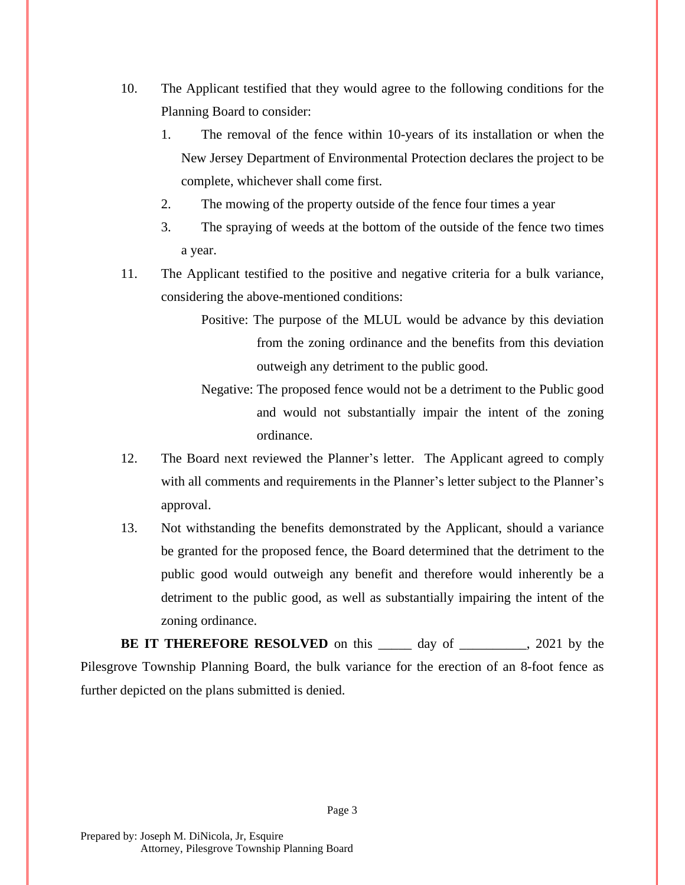- 10. The Applicant testified that they would agree to the following conditions for the Planning Board to consider:
	- 1. The removal of the fence within 10-years of its installation or when the New Jersey Department of Environmental Protection declares the project to be complete, whichever shall come first.
	- 2. The mowing of the property outside of the fence four times a year
	- 3. The spraying of weeds at the bottom of the outside of the fence two times a year.
- 11. The Applicant testified to the positive and negative criteria for a bulk variance, considering the above-mentioned conditions:
	- Positive: The purpose of the MLUL would be advance by this deviation from the zoning ordinance and the benefits from this deviation outweigh any detriment to the public good.
	- Negative: The proposed fence would not be a detriment to the Public good and would not substantially impair the intent of the zoning ordinance.
- 12. The Board next reviewed the Planner's letter. The Applicant agreed to comply with all comments and requirements in the Planner's letter subject to the Planner's approval.
- 13. Not withstanding the benefits demonstrated by the Applicant, should a variance be granted for the proposed fence, the Board determined that the detriment to the public good would outweigh any benefit and therefore would inherently be a detriment to the public good, as well as substantially impairing the intent of the zoning ordinance.

**BE IT THEREFORE RESOLVED** on this day of 3021 by the Pilesgrove Township Planning Board, the bulk variance for the erection of an 8-foot fence as further depicted on the plans submitted is denied.